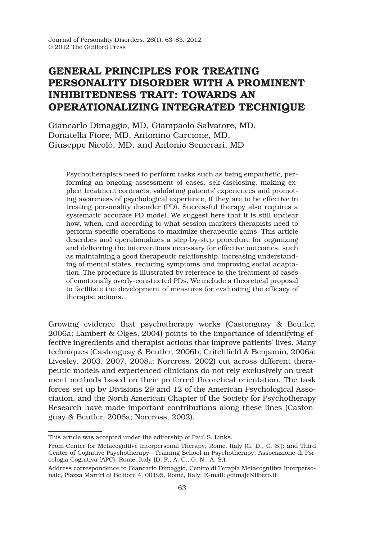# General principles for treating personality disorder with a prominent inhibitedness trait: Towards an operationalizing integrated technique

Giancarlo Dimaggio, MD, Giampaolo Salvatore, MD, Donatella Fiore, MD, Antonino Carcione, MD, Giuseppe Nicolò, MD, and Antonio Semerari, MD

Psychotherapists need to perform tasks such as being empathetic, performing an ongoing assessment of cases, self-disclosing, making explicit treatment contracts, validating patients' experiences and promoting awareness of psychological experience, if they are to be effective in treating personality disorder (PD). Successful therapy also requires a systematic accurate PD model. We suggest here that it is still unclear how, when, and according to what session markers therapists need to perform specific operations to maximize therapeutic gains. This article describes and operationalizes a step-by-step procedure for organizing and delivering the interventions necessary for effective outcomes, such as maintaining a good therapeutic relationship, increasing understanding of mental states, reducing symptoms and improving social adaptation. The procedure is illustrated by reference to the treatment of cases of emotionally overly-constricted PDs. We include a theoretical proposal to facilitate the development of measures for evaluating the efficacy of therapist actions.

Growing evidence that psychotherapy works (Castonguay & Beutler, 2006a; Lambert & Olges, 2004) points to the importance of identifying effective ingredients and therapist actions that improve patients' lives. Many techniques (Castonguay & Beutler, 2006b; Critchfield & Benjamin, 2006a; Livesley, 2003, 2007, 2008a; Norcross, 2002) cut across different therapeutic models and experienced clinicians do not rely exclusively on treatment methods based on their preferred theoretical orientation. The task forces set up by Divisions 29 and 12 of the American Psychological Association, and the North American Chapter of the Society for Psychotherapy Research have made important contributions along these lines (Castonguay & Beutler, 2006a; Norcross, 2002).

This article was accepted under the editorship of Paul S. Links.

From Center for Metacognitive Interpersonal Therapy, Rome, Italy (G. D., G. S.): and Third Center of Cognitive Psychotherapy—Training School in Psychotherapy, Associazione di Psicologia Cognitiva (APC), Rome, Italy (D. F., A. C., G. N., A. S.).

Address correspondence to Giancarlo Dimaggio, Centro di Terapia Metacognitiva Interpersonale, Piazza Martiri di Belfiore 4, 00195, Rome, Italy; E-mail: gdimaje@libero.it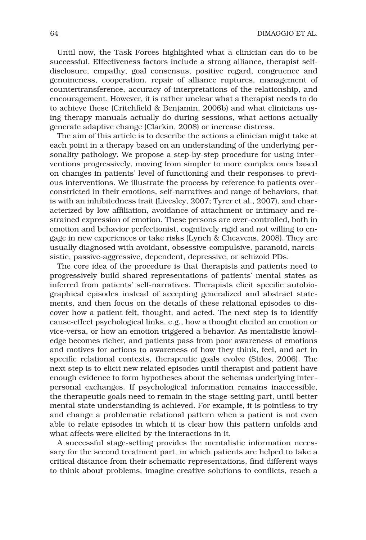Until now, the Task Forces highlighted what a clinician can do to be successful. Effectiveness factors include a strong alliance, therapist selfdisclosure, empathy, goal consensus, positive regard, congruence and genuineness, cooperation, repair of alliance ruptures, management of countertransference, accuracy of interpretations of the relationship, and encouragement. However, it is rather unclear what a therapist needs to do to achieve these (Critchfield & Benjamin, 2006b) and what clinicians using therapy manuals actually do during sessions, what actions actually generate adaptive change (Clarkin, 2008) or increase distress.

The aim of this article is to describe the actions a clinician might take at each point in a therapy based on an understanding of the underlying personality pathology. We propose a step-by-step procedure for using interventions progressively, moving from simpler to more complex ones based on changes in patients' level of functioning and their responses to previous interventions. We illustrate the process by reference to patients overconstricted in their emotions, self-narratives and range of behaviors, that is with an inhibitedness trait (Livesley, 2007; Tyrer et al., 2007), and characterized by low affiliation, avoidance of attachment or intimacy and restrained expression of emotion. These persons are over-controlled, both in emotion and behavior perfectionist, cognitively rigid and not willing to engage in new experiences or take risks (Lynch & Cheavens, 2008). They are usually diagnosed with avoidant, obsessive-compulsive, paranoid, narcissistic, passive-aggressive, dependent, depressive, or schizoid PDs.

The core idea of the procedure is that therapists and patients need to progressively build shared representations of patients' mental states as inferred from patients' self-narratives. Therapists elicit specific autobiographical episodes instead of accepting generalized and abstract statements, and then focus on the details of these relational episodes to discover how a patient felt, thought, and acted. The next step is to identify cause-effect psychological links, e.g., how a thought elicited an emotion or vice-versa, or how an emotion triggered a behavior. As mentalistic knowledge becomes richer, and patients pass from poor awareness of emotions and motives for actions to awareness of how they think, feel, and act in specific relational contexts, therapeutic goals evolve (Stiles, 2006). The next step is to elicit new related episodes until therapist and patient have enough evidence to form hypotheses about the schemas underlying interpersonal exchanges. If psychological information remains inaccessible, the therapeutic goals need to remain in the stage-setting part, until better mental state understanding is achieved. For example, it is pointless to try and change a problematic relational pattern when a patient is not even able to relate episodes in which it is clear how this pattern unfolds and what affects were elicited by the interactions in it.

A successful stage-setting provides the mentalistic information necessary for the second treatment part, in which patients are helped to take a critical distance from their schematic representations, find different ways to think about problems, imagine creative solutions to conflicts, reach a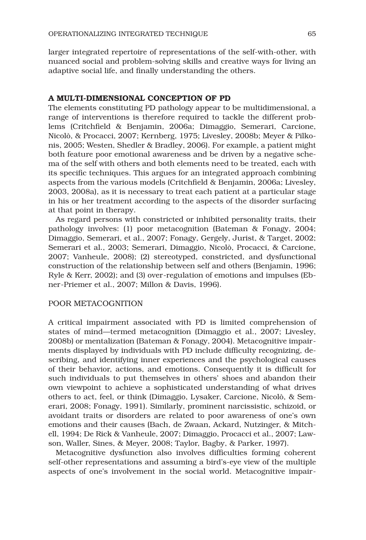larger integrated repertoire of representations of the self-with-other, with nuanced social and problem-solving skills and creative ways for living an adaptive social life, and finally understanding the others.

### A multi-dimensional conception of PD

The elements constituting PD pathology appear to be multidimensional, a range of interventions is therefore required to tackle the different problems (Critchfield & Benjamin, 2006a; Dimaggio, Semerari, Carcione, Nicolò, & Procacci, 2007; Kernberg, 1975; Livesley, 2008b; Meyer & Pilkonis, 2005; Westen, Shedler & Bradley, 2006). For example, a patient might both feature poor emotional awareness and be driven by a negative schema of the self with others and both elements need to be treated, each with its specific techniques. This argues for an integrated approach combining aspects from the various models (Critchfield & Benjamin, 2006a; Livesley, 2003, 2008a), as it is necessary to treat each patient at a particular stage in his or her treatment according to the aspects of the disorder surfacing at that point in therapy.

As regard persons with constricted or inhibited personality traits, their pathology involves: (1) poor metacognition (Bateman & Fonagy, 2004; Dimaggio, Semerari, et al., 2007; Fonagy, Gergely, Jurist, & Target, 2002; Semerari et al., 2003; Semerari, Dimaggio, Nicolò, Procacci, & Carcione, 2007; Vanheule, 2008); (2) stereotyped, constricted, and dysfunctional construction of the relationship between self and others (Benjamin, 1996; Ryle & Kerr, 2002); and (3) over-regulation of emotions and impulses (Ebner-Priemer et al., 2007; Millon & Davis, 1996).

### Poor metacognition

A critical impairment associated with PD is limited comprehension of states of mind—termed metacognition (Dimaggio et al., 2007; Livesley, 2008b) or mentalization (Bateman & Fonagy, 2004). Metacognitive impairments displayed by individuals with PD include difficulty recognizing, describing, and identifying inner experiences and the psychological causes of their behavior, actions, and emotions. Consequently it is difficult for such individuals to put themselves in others' shoes and abandon their own viewpoint to achieve a sophisticated understanding of what drives others to act, feel, or think (Dimaggio, Lysaker, Carcione, Nicolò, & Semerari, 2008; Fonagy, 1991). Similarly, prominent narcissistic, schizoid, or avoidant traits or disorders are related to poor awareness of one's own emotions and their causes (Bach, de Zwaan, Ackard, Nutzinger, & Mitchell, 1994; De Rick & Vanheule, 2007; Dimaggio, Procacci et al., 2007; Lawson, Waller, Sines, & Meyer, 2008; Taylor, Bagby, & Parker, 1997).

Metacognitive dysfunction also involves difficulties forming coherent self-other representations and assuming a bird's-eye view of the multiple aspects of one's involvement in the social world. Metacognitive impair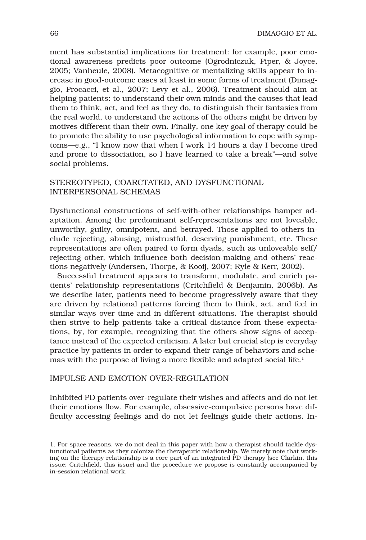ment has substantial implications for treatment: for example, poor emotional awareness predicts poor outcome (Ogrodniczuk, Piper, & Joyce, 2005; Vanheule, 2008). Metacognitive or mentalizing skills appear to increase in good-outcome cases at least in some forms of treatment (Dimaggio, Procacci, et al., 2007; Levy et al., 2006). Treatment should aim at helping patients: to understand their own minds and the causes that lead them to think, act, and feel as they do, to distinguish their fantasies from the real world, to understand the actions of the others might be driven by motives different than their own. Finally, one key goal of therapy could be to promote the ability to use psychological information to cope with symptoms—e.g., "I know now that when I work 14 hours a day I become tired and prone to dissociation, so I have learned to take a break"—and solve social problems.

# Stereotyped, coarctated, and dysfunctional interpersonal schemas

Dysfunctional constructions of self-with-other relationships hamper adaptation. Among the predominant self-representations are not loveable, unworthy, guilty, omnipotent, and betrayed. Those applied to others include rejecting, abusing, mistrustful, deserving punishment, etc. These representations are often paired to form dyads, such as unloveable self/ rejecting other, which influence both decision-making and others' reactions negatively (Andersen, Thorpe, & Kooij, 2007; Ryle & Kerr, 2002).

Successful treatment appears to transform, modulate, and enrich patients' relationship representations (Critchfield & Benjamin, 2006b). As we describe later, patients need to become progressively aware that they are driven by relational patterns forcing them to think, act, and feel in similar ways over time and in different situations. The therapist should then strive to help patients take a critical distance from these expectations, by, for example, recognizing that the others show signs of acceptance instead of the expected criticism. A later but crucial step is everyday practice by patients in order to expand their range of behaviors and schemas with the purpose of living a more flexible and adapted social life.<sup>1</sup>

### Impulse and emotion over-regulation

Inhibited PD patients over-regulate their wishes and affects and do not let their emotions flow. For example, obsessive-compulsive persons have difficulty accessing feelings and do not let feelings guide their actions. In-

<sup>1.</sup> For space reasons, we do not deal in this paper with how a therapist should tackle dysfunctional patterns as they colonize the therapeutic relationship. We merely note that working on the therapy relationship is a core part of an integrated PD therapy (see Clarkin, this issue; Critchfield, this issue) and the procedure we propose is constantly accompanied by in-session relational work.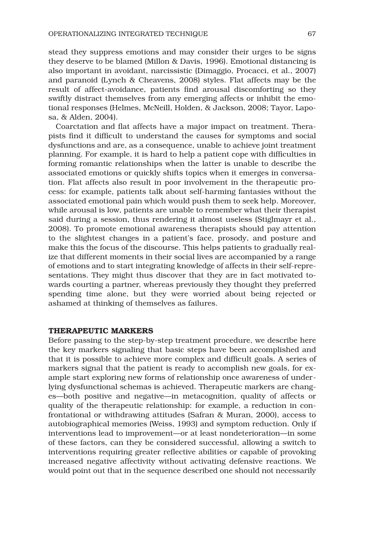stead they suppress emotions and may consider their urges to be signs they deserve to be blamed (Millon & Davis, 1996). Emotional distancing is also important in avoidant, narcissistic (Dimaggio, Procacci, et al., 2007) and paranoid (Lynch & Cheavens, 2008) styles. Flat affects may be the result of affect-avoidance, patients find arousal discomforting so they swiftly distract themselves from any emerging affects or inhibit the emotional responses (Helmes, McNeill, Holden, & Jackson, 2008; Tayor, Laposa, & Alden, 2004).

Coarctation and flat affects have a major impact on treatment. Therapists find it difficult to understand the causes for symptoms and social dysfunctions and are, as a consequence, unable to achieve joint treatment planning. For example, it is hard to help a patient cope with difficulties in forming romantic relationships when the latter is unable to describe the associated emotions or quickly shifts topics when it emerges in conversation. Flat affects also result in poor involvement in the therapeutic process: for example, patients talk about self-harming fantasies without the associated emotional pain which would push them to seek help. Moreover, while arousal is low, patients are unable to remember what their therapist said during a session, thus rendering it almost useless (Stiglmayr et al., 2008). To promote emotional awareness therapists should pay attention to the slightest changes in a patient's face, prosody, and posture and make this the focus of the discourse. This helps patients to gradually realize that different moments in their social lives are accompanied by a range of emotions and to start integrating knowledge of affects in their self-representations. They might thus discover that they are in fact motivated towards courting a partner, whereas previously they thought they preferred spending time alone, but they were worried about being rejected or ashamed at thinking of themselves as failures.

### Therapeutic markers

Before passing to the step-by-step treatment procedure, we describe here the key markers signaling that basic steps have been accomplished and that it is possible to achieve more complex and difficult goals. A series of markers signal that the patient is ready to accomplish new goals, for example start exploring new forms of relationship once awareness of underlying dysfunctional schemas is achieved. Therapeutic markers are changes—both positive and negative—in metacognition, quality of affects or quality of the therapeutic relationship: for example, a reduction in confrontational or withdrawing attitudes (Safran & Muran, 2000), access to autobiographical memories (Weiss, 1993) and symptom reduction. Only if interventions lead to improvement—or at least nondeterioration—in some of these factors, can they be considered successful, allowing a switch to interventions requiring greater reflective abilities or capable of provoking increased negative affectivity without activating defensive reactions. We would point out that in the sequence described one should not necessarily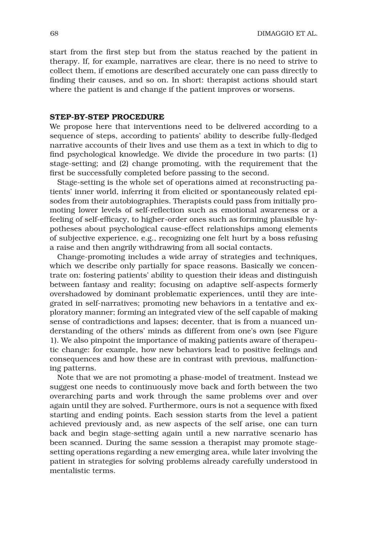start from the first step but from the status reached by the patient in therapy. If, for example, narratives are clear, there is no need to strive to collect them, if emotions are described accurately one can pass directly to finding their causes, and so on. In short: therapist actions should start where the patient is and change if the patient improves or worsens.

### Step-by-step procedure

We propose here that interventions need to be delivered according to a sequence of steps, according to patients' ability to describe fully-fledged narrative accounts of their lives and use them as a text in which to dig to find psychological knowledge. We divide the procedure in two parts: (1) stage-setting; and (2) change promoting, with the requirement that the first be successfully completed before passing to the second.

Stage-setting is the whole set of operations aimed at reconstructing patients' inner world, inferring it from elicited or spontaneously related episodes from their autobiographies. Therapists could pass from initially promoting lower levels of self-reflection such as emotional awareness or a feeling of self-efficacy, to higher-order ones such as forming plausible hypotheses about psychological cause-effect relationships among elements of subjective experience, e.g., recognizing one felt hurt by a boss refusing a raise and then angrily withdrawing from all social contacts.

Change-promoting includes a wide array of strategies and techniques, which we describe only partially for space reasons. Basically we concentrate on: fostering patients' ability to question their ideas and distinguish between fantasy and reality; focusing on adaptive self-aspects formerly overshadowed by dominant problematic experiences, until they are integrated in self-narratives; promoting new behaviors in a tentative and exploratory manner; forming an integrated view of the self capable of making sense of contradictions and lapses; decenter, that is from a nuanced understanding of the others' minds as different from one's own (see Figure 1). We also pinpoint the importance of making patients aware of therapeutic change: for example, how new behaviors lead to positive feelings and consequences and how these are in contrast with previous, malfunctioning patterns.

Note that we are not promoting a phase-model of treatment. Instead we suggest one needs to continuously move back and forth between the two overarching parts and work through the same problems over and over again until they are solved. Furthermore, ours is not a sequence with fixed starting and ending points. Each session starts from the level a patient achieved previously and, as new aspects of the self arise, one can turn back and begin stage-setting again until a new narrative scenario has been scanned. During the same session a therapist may promote stagesetting operations regarding a new emerging area, while later involving the patient in strategies for solving problems already carefully understood in mentalistic terms.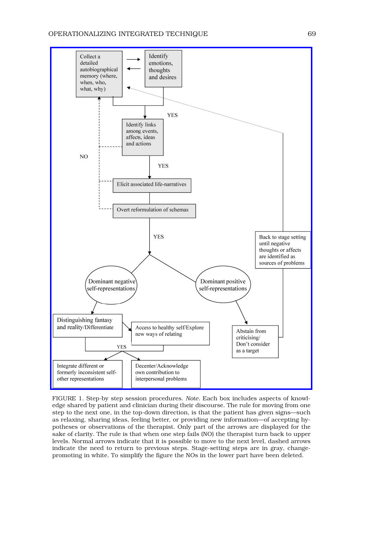

FIGURE 1. Step-by step session procedures. *Note.* Each box includes aspects of knowledge shared by patient and clinician during their discourse. The rule for moving from one step to the next one, in the top-down direction, is that the patient has given signs—such as relaxing, sharing ideas, feeling better, or providing new information—of accepting hypotheses or observations of the therapist. Only part of the arrows are displayed for the sake of clarity. The rule is that when one step fails (NO) the therapist turn back to upper levels. Normal arrows indicate that it is possible to move to the next level, dashed arrows indicate the need to return to previous steps. Stage-setting steps are in gray, changepromoting in white. To simplify the figure the NOs in the lower part have been deleted.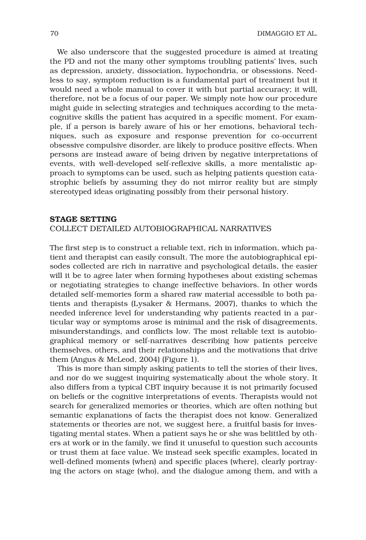We also underscore that the suggested procedure is aimed at treating the PD and not the many other symptoms troubling patients' lives, such as depression, anxiety, dissociation, hypochondria, or obsessions. Needless to say, symptom reduction is a fundamental part of treatment but it would need a whole manual to cover it with but partial accuracy; it will, therefore, not be a focus of our paper. We simply note how our procedure might guide in selecting strategies and techniques according to the metacognitive skills the patient has acquired in a specific moment. For example, if a person is barely aware of his or her emotions, behavioral techniques, such as exposure and response prevention for co-occurrent obsessive compulsive disorder, are likely to produce positive effects. When persons are instead aware of being driven by negative interpretations of events, with well-developed self-reflexive skills, a more mentalistic approach to symptoms can be used, such as helping patients question catastrophic beliefs by assuming they do not mirror reality but are simply stereotyped ideas originating possibly from their personal history.

#### Stage setting

### Collect detailed autobiographical narratives

The first step is to construct a reliable text, rich in information, which patient and therapist can easily consult. The more the autobiographical episodes collected are rich in narrative and psychological details, the easier will it be to agree later when forming hypotheses about existing schemas or negotiating strategies to change ineffective behaviors. In other words detailed self-memories form a shared raw material accessible to both patients and therapists (Lysaker & Hermans, 2007), thanks to which the needed inference level for understanding why patients reacted in a particular way or symptoms arose is minimal and the risk of disagreements, misunderstandings, and conflicts low. The most reliable text is autobiographical memory or self-narratives describing how patients perceive themselves, others, and their relationships and the motivations that drive them (Angus & McLeod, 2004) (Figure 1).

This is more than simply asking patients to tell the stories of their lives, and nor do we suggest inquiring systematically about the whole story. It also differs from a typical CBT inquiry because it is not primarily focused on beliefs or the cognitive interpretations of events. Therapists would not search for generalized memories or theories, which are often nothing but semantic explanations of facts the therapist does not know. Generalized statements or theories are not, we suggest here, a fruitful basis for investigating mental states. When a patient says he or she was belittled by others at work or in the family, we find it unuseful to question such accounts or trust them at face value. We instead seek specific examples, located in well-defined moments (when) and specific places (where), clearly portraying the actors on stage (who), and the dialogue among them, and with a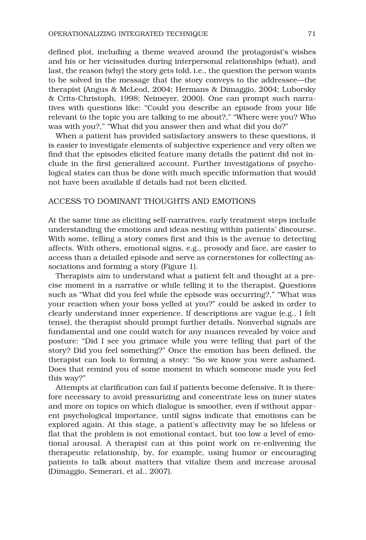defined plot, including a theme weaved around the protagonist's wishes and his or her vicissitudes during interpersonal relationships (what), and last, the reason (why) the story gets told, i.e., the question the person wants to be solved in the message that the story conveys to the addressee—the therapist (Angus & McLeod, 2004; Hermans & Dimaggio, 2004; Luborsky & Crits-Christoph, 1998; Neimeyer, 2000). One can prompt such narratives with questions like: "Could you describe an episode from your life relevant to the topic you are talking to me about?," "Where were you? Who was with you?," "What did you answer then and what did you do?"

When a patient has provided satisfactory answers to these questions, it is easier to investigate elements of subjective experience and very often we find that the episodes elicited feature many details the patient did not include in the first generalized account. Further investigations of psychological states can thus be done with much specific information that would not have been available if details had not been elicited.

# Access to dominant thoughts and emotions

At the same time as eliciting self-narratives, early treatment steps include understanding the emotions and ideas nesting within patients' discourse. With some, telling a story comes first and this is the avenue to detecting affects. With others, emotional signs, e.g., prosody and face, are easier to access than a detailed episode and serve as cornerstones for collecting associations and forming a story (Figure 1).

Therapists aim to understand what a patient felt and thought at a precise moment in a narrative or while telling it to the therapist. Questions such as "What did you feel while the episode was occurring?," "What was your reaction when your boss yelled at you?" could be asked in order to clearly understand inner experience. If descriptions are vague (e.g., I felt tense), the therapist should prompt further details. Nonverbal signals are fundamental and one could watch for any nuances revealed by voice and posture: "Did I see you grimace while you were telling that part of the story? Did you feel something?" Once the emotion has been defined, the therapist can look to forming a story: "So we know you were ashamed. Does that remind you of some moment in which someone made you feel this way?"

Attempts at clarification can fail if patients become defensive. It is therefore necessary to avoid pressurizing and concentrate less on inner states and more on topics on which dialogue is smoother, even if without apparent psychological importance, until signs indicate that emotions can be explored again. At this stage, a patient's affectivity may be so lifeless or flat that the problem is not emotional contact, but too low a level of emotional arousal. A therapist can at this point work on re-enlivening the therapeutic relationship, by, for example, using humor or encouraging patients to talk about matters that vitalize them and increase arousal (Dimaggio, Semerari, et al., 2007).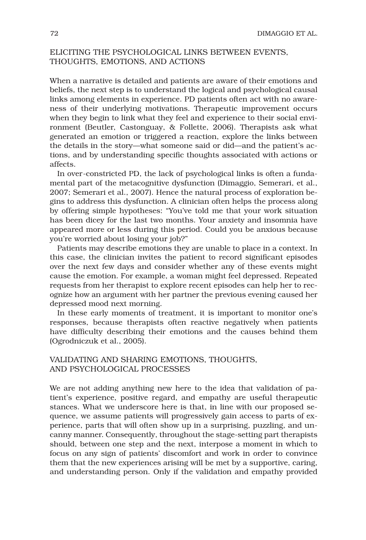# Eliciting the psychological links between events, thoughts, emotions, and actions

When a narrative is detailed and patients are aware of their emotions and beliefs, the next step is to understand the logical and psychological causal links among elements in experience. PD patients often act with no awareness of their underlying motivations. Therapeutic improvement occurs when they begin to link what they feel and experience to their social environment (Beutler, Castonguay, & Follette, 2006). Therapists ask what generated an emotion or triggered a reaction, explore the links between the details in the story—what someone said or did—and the patient's actions, and by understanding specific thoughts associated with actions or affects.

In over-constricted PD, the lack of psychological links is often a fundamental part of the metacognitive dysfunction (Dimaggio, Semerari, et al., 2007; Semerari et al., 2007). Hence the natural process of exploration begins to address this dysfunction. A clinician often helps the process along by offering simple hypotheses: "You've told me that your work situation has been dicey for the last two months. Your anxiety and insomnia have appeared more or less during this period. Could you be anxious because you're worried about losing your job?"

Patients may describe emotions they are unable to place in a context. In this case, the clinician invites the patient to record significant episodes over the next few days and consider whether any of these events might cause the emotion. For example, a woman might feel depressed. Repeated requests from her therapist to explore recent episodes can help her to recognize how an argument with her partner the previous evening caused her depressed mood next morning.

In these early moments of treatment, it is important to monitor one's responses, because therapists often reactive negatively when patients have difficulty describing their emotions and the causes behind them (Ogrodniczuk et al., 2005).

## Validating and sharing emotions, thoughts, and psychological processes

We are not adding anything new here to the idea that validation of patient's experience, positive regard, and empathy are useful therapeutic stances. What we underscore here is that, in line with our proposed sequence, we assume patients will progressively gain access to parts of experience, parts that will often show up in a surprising, puzzling, and uncanny manner. Consequently, throughout the stage-setting part therapists should, between one step and the next, interpose a moment in which to focus on any sign of patients' discomfort and work in order to convince them that the new experiences arising will be met by a supportive, caring, and understanding person. Only if the validation and empathy provided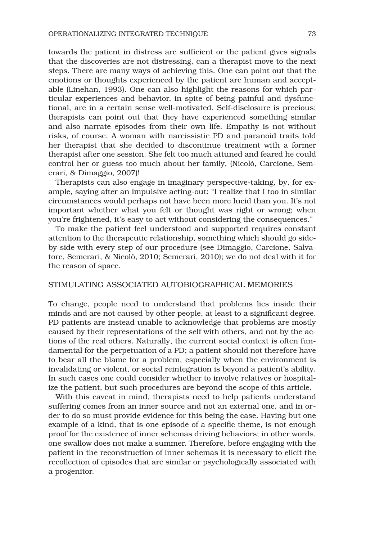towards the patient in distress are sufficient or the patient gives signals that the discoveries are not distressing, can a therapist move to the next steps. There are many ways of achieving this. One can point out that the emotions or thoughts experienced by the patient are human and acceptable (Linehan, 1993). One can also highlight the reasons for which particular experiences and behavior, in spite of being painful and dysfunctional, are in a certain sense well-motivated. Self-disclosure is precious: therapists can point out that they have experienced something similar and also narrate episodes from their own life. Empathy is not without risks, of course. A woman with narcissistic PD and paranoid traits told her therapist that she decided to discontinue treatment with a former therapist after one session. She felt too much attuned and feared he could control her or guess too much about her family, (Nicolò, Carcione, Semerari, & Dimaggio, 2007)!

Therapists can also engage in imaginary perspective-taking, by, for example, saying after an impulsive acting-out: "I realize that I too in similar circumstances would perhaps not have been more lucid than you. It's not important whether what you felt or thought was right or wrong; when you're frightened, it's easy to act without considering the consequences."

To make the patient feel understood and supported requires constant attention to the therapeutic relationship, something which should go sideby-side with every step of our procedure (see Dimaggio, Carcione, Salvatore, Semerari, & Nicolò, 2010; Semerari, 2010); we do not deal with it for the reason of space.

### Stimulating associated autobiographical memories

To change, people need to understand that problems lies inside their minds and are not caused by other people, at least to a significant degree. PD patients are instead unable to acknowledge that problems are mostly caused by their representations of the self with others, and not by the actions of the real others. Naturally, the current social context is often fundamental for the perpetuation of a PD; a patient should not therefore have to bear all the blame for a problem, especially when the environment is invalidating or violent, or social reintegration is beyond a patient's ability. In such cases one could consider whether to involve relatives or hospitalize the patient, but such procedures are beyond the scope of this article.

With this caveat in mind, therapists need to help patients understand suffering comes from an inner source and not an external one, and in order to do so must provide evidence for this being the case. Having but one example of a kind, that is one episode of a specific theme, is not enough proof for the existence of inner schemas driving behaviors; in other words, one swallow does not make a summer. Therefore, before engaging with the patient in the reconstruction of inner schemas it is necessary to elicit the recollection of episodes that are similar or psychologically associated with a progenitor.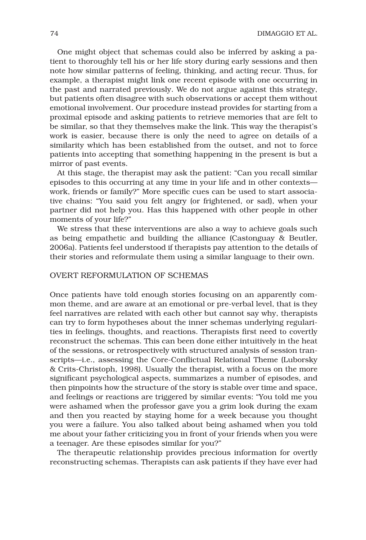One might object that schemas could also be inferred by asking a patient to thoroughly tell his or her life story during early sessions and then note how similar patterns of feeling, thinking, and acting recur. Thus, for example, a therapist might link one recent episode with one occurring in the past and narrated previously. We do not argue against this strategy, but patients often disagree with such observations or accept them without emotional involvement. Our procedure instead provides for starting from a proximal episode and asking patients to retrieve memories that are felt to be similar, so that they themselves make the link. This way the therapist's work is easier, because there is only the need to agree on details of a similarity which has been established from the outset, and not to force patients into accepting that something happening in the present is but a mirror of past events.

At this stage, the therapist may ask the patient: "Can you recall similar episodes to this occurring at any time in your life and in other contexts work, friends or family?" More specific cues can be used to start associative chains: "You said you felt angry (or frightened, or sad), when your partner did not help you. Has this happened with other people in other moments of your life?"

We stress that these interventions are also a way to achieve goals such as being empathetic and building the alliance (Castonguay & Beutler, 2006a). Patients feel understood if therapists pay attention to the details of their stories and reformulate them using a similar language to their own.

### Overt reformulation of schemas

Once patients have told enough stories focusing on an apparently common theme, and are aware at an emotional or pre-verbal level, that is they feel narratives are related with each other but cannot say why, therapists can try to form hypotheses about the inner schemas underlying regularities in feelings, thoughts, and reactions. Therapists first need to covertly reconstruct the schemas. This can been done either intuitively in the heat of the sessions, or retrospectively with structured analysis of session transcripts—i.e., assessing the Core-Conflictual Relational Theme (Luborsky & Crits-Christoph, 1998). Usually the therapist, with a focus on the more significant psychological aspects, summarizes a number of episodes, and then pinpoints how the structure of the story is stable over time and space, and feelings or reactions are triggered by similar events: "You told me you were ashamed when the professor gave you a grim look during the exam and then you reacted by staying home for a week because you thought you were a failure. You also talked about being ashamed when you told me about your father criticizing you in front of your friends when you were a teenager. Are these episodes similar for you?"

The therapeutic relationship provides precious information for overtly reconstructing schemas. Therapists can ask patients if they have ever had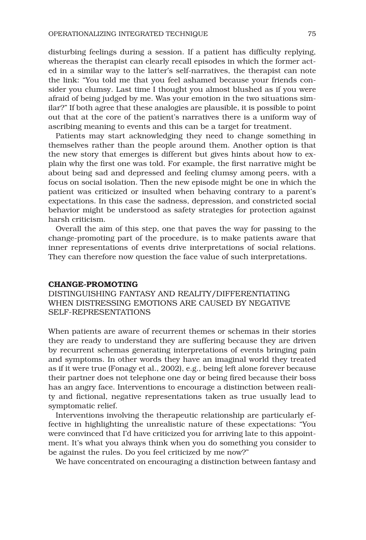disturbing feelings during a session. If a patient has difficulty replying, whereas the therapist can clearly recall episodes in which the former acted in a similar way to the latter's self-narratives, the therapist can note the link: "You told me that you feel ashamed because your friends consider you clumsy. Last time I thought you almost blushed as if you were afraid of being judged by me. Was your emotion in the two situations similar?" If both agree that these analogies are plausible, it is possible to point out that at the core of the patient's narratives there is a uniform way of ascribing meaning to events and this can be a target for treatment.

Patients may start acknowledging they need to change something in themselves rather than the people around them. Another option is that the new story that emerges is different but gives hints about how to explain why the first one was told. For example, the first narrative might be about being sad and depressed and feeling clumsy among peers, with a focus on social isolation. Then the new episode might be one in which the patient was criticized or insulted when behaving contrary to a parent's expectations. In this case the sadness, depression, and constricted social behavior might be understood as safety strategies for protection against harsh criticism.

Overall the aim of this step, one that paves the way for passing to the change-promoting part of the procedure, is to make patients aware that inner representations of events drive interpretations of social relations. They can therefore now question the face value of such interpretations.

#### Change-Promoting

Distinguishing fantasy and reality/differentiating when distressing emotions are caused by negative self-representations

When patients are aware of recurrent themes or schemas in their stories they are ready to understand they are suffering because they are driven by recurrent schemas generating interpretations of events bringing pain and symptoms. In other words they have an imaginal world they treated as if it were true (Fonagy et al., 2002), e.g., being left alone forever because their partner does not telephone one day or being fired because their boss has an angry face. Interventions to encourage a distinction between reality and fictional, negative representations taken as true usually lead to symptomatic relief.

Interventions involving the therapeutic relationship are particularly effective in highlighting the unrealistic nature of these expectations: "You were convinced that I'd have criticized you for arriving late to this appointment. It's what you always think when you do something you consider to be against the rules. Do you feel criticized by me now?"

We have concentrated on encouraging a distinction between fantasy and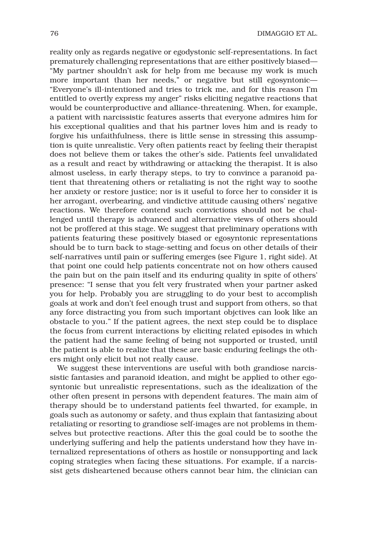reality only as regards negative or egodystonic self-representations. In fact prematurely challenging representations that are either positively biased— "My partner shouldn't ask for help from me because my work is much more important than her needs," or negative but still egosyntonic— "Everyone's ill-intentioned and tries to trick me, and for this reason I'm entitled to overtly express my anger" risks eliciting negative reactions that would be counterproductive and alliance-threatening. When, for example, a patient with narcissistic features asserts that everyone admires him for his exceptional qualities and that his partner loves him and is ready to forgive his unfaithfulness, there is little sense in stressing this assumption is quite unrealistic. Very often patients react by feeling their therapist does not believe them or takes the other's side. Patients feel unvalidated as a result and react by withdrawing or attacking the therapist. It is also almost useless, in early therapy steps, to try to convince a paranoid patient that threatening others or retaliating is not the right way to soothe her anxiety or restore justice; nor is it useful to force her to consider it is her arrogant, overbearing, and vindictive attitude causing others' negative reactions. We therefore contend such convictions should not be challenged until therapy is advanced and alternative views of others should not be proffered at this stage. We suggest that preliminary operations with patients featuring these positively biased or egosyntonic representations should be to turn back to stage-setting and focus on other details of their self-narratives until pain or suffering emerges (see Figure 1, right side). At that point one could help patients concentrate not on how others caused the pain but on the pain itself and its enduring quality in spite of others' presence: "I sense that you felt very frustrated when your partner asked you for help. Probably you are struggling to do your best to accomplish goals at work and don't feel enough trust and support from others, so that any force distracting you from such important objctives can look like an obstacle to you." If the patient agrees, the next step could be to displace the focus from current interactions by eliciting related episodes in which the patient had the same feeling of being not supported or trusted, until the patient is able to realize that these are basic enduring feelings the others might only elicit but not really cause.

We suggest these interventions are useful with both grandiose narcissistic fantasies and paranoid ideation, and might be applied to other egosyntonic but unrealistic representations, such as the idealization of the other often present in persons with dependent features. The main aim of therapy should be to understand patients feel thwarted, for example, in goals such as autonomy or safety, and thus explain that fantasizing about retaliating or resorting to grandiose self-images are not problems in themselves but protective reactions. After this the goal could be to soothe the underlying suffering and help the patients understand how they have internalized representations of others as hostile or nonsupporting and lack coping strategies when facing these situations. For example, if a narcissist gets disheartened because others cannot bear him, the clinician can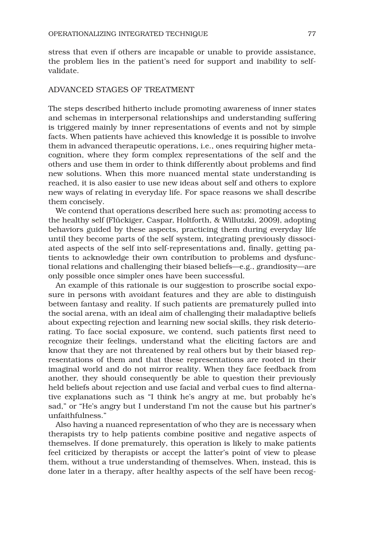stress that even if others are incapable or unable to provide assistance, the problem lies in the patient's need for support and inability to selfvalidate.

### Advanced stages of treatment

The steps described hitherto include promoting awareness of inner states and schemas in interpersonal relationships and understanding suffering is triggered mainly by inner representations of events and not by simple facts. When patients have achieved this knowledge it is possible to involve them in advanced therapeutic operations, i.e., ones requiring higher metacognition, where they form complex representations of the self and the others and use them in order to think differently about problems and find new solutions. When this more nuanced mental state understanding is reached, it is also easier to use new ideas about self and others to explore new ways of relating in everyday life. For space reasons we shall describe them concisely.

We contend that operations described here such as: promoting access to the healthy self (Flückiger, Caspar, Holtforth, & Willutzki, 2009), adopting behaviors guided by these aspects, practicing them during everyday life until they become parts of the self system, integrating previously dissociated aspects of the self into self-representations and, finally, getting patients to acknowledge their own contribution to problems and dysfunctional relations and challenging their biased beliefs—e.g., grandiosity—are only possible once simpler ones have been successful.

An example of this rationale is our suggestion to proscribe social exposure in persons with avoidant features and they are able to distinguish between fantasy and reality. If such patients are prematurely pulled into the social arena, with an ideal aim of challenging their maladaptive beliefs about expecting rejection and learning new social skills, they risk deteriorating. To face social exposure, we contend, such patients first need to recognize their feelings, understand what the eliciting factors are and know that they are not threatened by real others but by their biased representations of them and that these representations are rooted in their imaginal world and do not mirror reality. When they face feedback from another, they should consequently be able to question their previously held beliefs about rejection and use facial and verbal cues to find alternative explanations such as "I think he's angry at me, but probably he's sad," or "He's angry but I understand I'm not the cause but his partner's unfaithfulness."

Also having a nuanced representation of who they are is necessary when therapists try to help patients combine positive and negative aspects of themselves. If done prematurely, this operation is likely to make patients feel criticized by therapists or accept the latter's point of view to please them, without a true understanding of themselves. When, instead, this is done later in a therapy, after healthy aspects of the self have been recog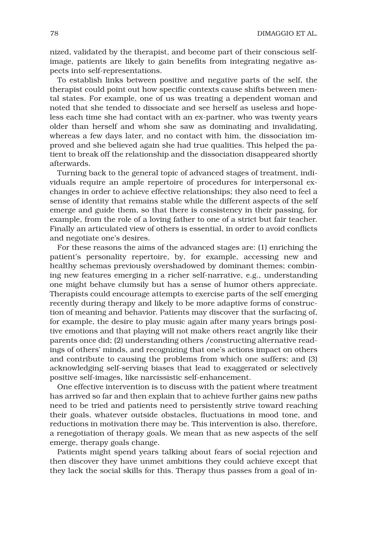nized, validated by the therapist, and become part of their conscious selfimage, patients are likely to gain benefits from integrating negative aspects into self-representations.

To establish links between positive and negative parts of the self, the therapist could point out how specific contexts cause shifts between mental states. For example, one of us was treating a dependent woman and noted that she tended to dissociate and see herself as useless and hopeless each time she had contact with an ex-partner, who was twenty years older than herself and whom she saw as dominating and invalidating, whereas a few days later, and no contact with him, the dissociation improved and she believed again she had true qualities. This helped the patient to break off the relationship and the dissociation disappeared shortly afterwards.

Turning back to the general topic of advanced stages of treatment, individuals require an ample repertoire of procedures for interpersonal exchanges in order to achieve effective relationships; they also need to feel a sense of identity that remains stable while the different aspects of the self emerge and guide them, so that there is consistency in their passing, for example, from the role of a loving father to one of a strict but fair teacher. Finally an articulated view of others is essential, in order to avoid conflicts and negotiate one's desires.

For these reasons the aims of the advanced stages are: (1) enriching the patient's personality repertoire, by, for example, accessing new and healthy schemas previously overshadowed by dominant themes; combining new features emerging in a richer self-narrative, e.g., understanding one might behave clumsily but has a sense of humor others appreciate. Therapists could encourage attempts to exercise parts of the self emerging recently during therapy and likely to be more adaptive forms of construction of meaning and behavior. Patients may discover that the surfacing of, for example, the desire to play music again after many years brings positive emotions and that playing will not make others react angrily like their parents once did; (2) understanding others /constructing alternative readings of others' minds, and recognizing that one's actions impact on others and contribute to causing the problems from which one suffers; and (3) acknowledging self-serving biases that lead to exaggerated or selectively positive self-images, like narcissistic self-enhancement.

One effective intervention is to discuss with the patient where treatment has arrived so far and then explain that to achieve further gains new paths need to be tried and patients need to persistently strive toward reaching their goals, whatever outside obstacles, fluctuations in mood tone, and reductions in motivation there may be. This intervention is also, therefore, a renegotiation of therapy goals. We mean that as new aspects of the self emerge, therapy goals change.

Patients might spend years talking about fears of social rejection and then discover they have unmet ambitions they could achieve except that they lack the social skills for this. Therapy thus passes from a goal of in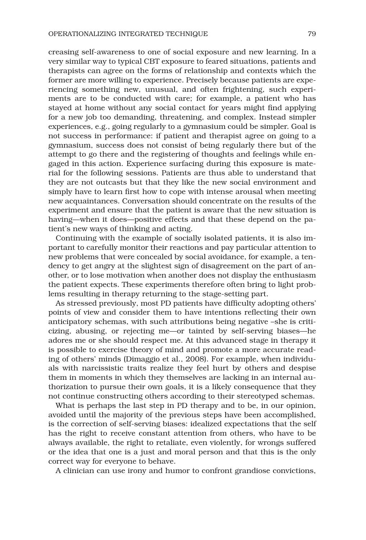creasing self-awareness to one of social exposure and new learning. In a very similar way to typical CBT exposure to feared situations, patients and therapists can agree on the forms of relationship and contexts which the former are more willing to experience. Precisely because patients are experiencing something new, unusual, and often frightening, such experiments are to be conducted with care; for example, a patient who has stayed at home without any social contact for years might find applying for a new job too demanding, threatening, and complex. Instead simpler experiences, e.g., going regularly to a gymnasium could be simpler. Goal is not success in performance: if patient and therapist agree on going to a gymnasium, success does not consist of being regularly there but of the attempt to go there and the registering of thoughts and feelings while engaged in this action. Experience surfacing during this exposure is material for the following sessions. Patients are thus able to understand that they are not outcasts but that they like the new social environment and simply have to learn first how to cope with intense arousal when meeting new acquaintances. Conversation should concentrate on the results of the experiment and ensure that the patient is aware that the new situation is having—when it does—positive effects and that these depend on the patient's new ways of thinking and acting.

Continuing with the example of socially isolated patients, it is also important to carefully monitor their reactions and pay particular attention to new problems that were concealed by social avoidance, for example, a tendency to get angry at the slightest sign of disagreement on the part of another, or to lose motivation when another does not display the enthusiasm the patient expects. These experiments therefore often bring to light problems resulting in therapy returning to the stage-setting part.

As stressed previously, most PD patients have difficulty adopting others' points of view and consider them to have intentions reflecting their own anticipatory schemas, with such attributions being negative –she is criticizing, abusing, or rejecting me—or tainted by self-serving biases—he adores me or she should respect me. At this advanced stage in therapy it is possible to exercise theory of mind and promote a more accurate reading of others' minds (Dimaggio et al., 2008). For example, when individuals with narcissistic traits realize they feel hurt by others and despise them in moments in which they themselves are lacking in an internal authorization to pursue their own goals, it is a likely consequence that they not continue constructing others according to their stereotyped schemas.

What is perhaps the last step in PD therapy and to be, in our opinion, avoided until the majority of the previous steps have been accomplished, is the correction of self-serving biases: idealized expectations that the self has the right to receive constant attention from others, who have to be always available, the right to retaliate, even violently, for wrongs suffered or the idea that one is a just and moral person and that this is the only correct way for everyone to behave.

A clinician can use irony and humor to confront grandiose convictions,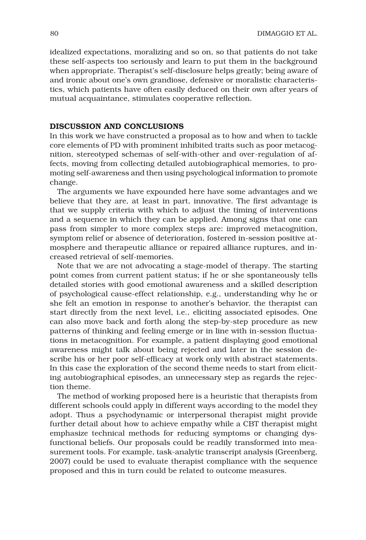idealized expectations, moralizing and so on, so that patients do not take these self-aspects too seriously and learn to put them in the background when appropriate. Therapist's self-disclosure helps greatly; being aware of and ironic about one's own grandiose, defensive or moralistic characteristics, which patients have often easily deduced on their own after years of mutual acquaintance, stimulates cooperative reflection.

#### Discussion and Conclusions

In this work we have constructed a proposal as to how and when to tackle core elements of PD with prominent inhibited traits such as poor metacognition, stereotyped schemas of self-with-other and over-regulation of affects, moving from collecting detailed autobiographical memories, to promoting self-awareness and then using psychological information to promote change.

The arguments we have expounded here have some advantages and we believe that they are, at least in part, innovative. The first advantage is that we supply criteria with which to adjust the timing of interventions and a sequence in which they can be applied. Among signs that one can pass from simpler to more complex steps are: improved metacognition, symptom relief or absence of deterioration, fostered in-session positive atmosphere and therapeutic alliance or repaired alliance ruptures, and increased retrieval of self-memories.

Note that we are not advocating a stage-model of therapy. The starting point comes from current patient status; if he or she spontaneously tells detailed stories with good emotional awareness and a skilled description of psychological cause-effect relationship, e.g., understanding why he or she felt an emotion in response to another's behavior, the therapist can start directly from the next level, i.e., eliciting associated episodes. One can also move back and forth along the step-by-step procedure as new patterns of thinking and feeling emerge or in line with in-session fluctuations in metacognition. For example, a patient displaying good emotional awareness might talk about being rejected and later in the session describe his or her poor self-efficacy at work only with abstract statements. In this case the exploration of the second theme needs to start from eliciting autobiographical episodes, an unnecessary step as regards the rejection theme.

The method of working proposed here is a heuristic that therapists from different schools could apply in different ways according to the model they adopt. Thus a psychodynamic or interpersonal therapist might provide further detail about how to achieve empathy while a CBT therapist might emphasize technical methods for reducing symptoms or changing dysfunctional beliefs. Our proposals could be readily transformed into measurement tools. For example, task-analytic transcript analysis (Greenberg, 2007) could be used to evaluate therapist compliance with the sequence proposed and this in turn could be related to outcome measures.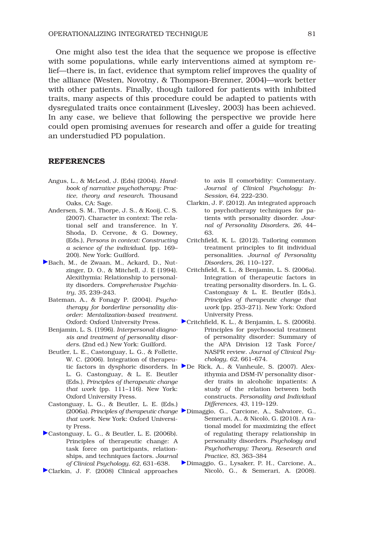One might also test the idea that the sequence we propose is effective with some populations, while early interventions aimed at symptom relief—there is, in fact, evidence that symptom relief improves the quality of the alliance (Westen, Novotny, & Thompson-Brenner, 2004)—work better with other patients. Finally, though tailored for patients with inhibited traits, many aspects of this procedure could be adapted to patients with dysregulated traits once containment (Livesley, 2003) has been achieved. In any case, we believe that following the perspective we provide here could open promising avenues for research and offer a guide for treating an understudied PD population.

#### **REFERENCES**

- Angus, L., & McLeod, J. (Eds) (2004). *Handbook of narrative psychotherapy: Practice, theory and research*. Thousand Oaks, CA: Sage.
- Andersen, S. M., Thorpe, J. S., & Kooij, C. S. (2007). Character in context: The relational self and transference. In Y. Shoda, D. Cervone, & G. Downey, (Eds.), *Persons in context: Constructing a science of the individual*. (pp. 169– 200). New York: Guilford.
- Bach, M., de Zwaan, M., Ackard, D., Nutzinger, D. O., & Mitchell, J. E (1994). Alexithymia: Relationship to personality disorders. *Comprehensive Psychiatry*, *35*, 239–243.
	- Bateman, A., & Fonagy P. (2004). *Psychotherapy for borderline personality disorder: Mentalization-based treatment.* Oxford: Oxford University Press.
	- Benjamin, L. S. (1996). *Interpersonal diagnosis and treatment of personality disor*ders. (2nd ed.) New York: Guilford.
	- Beutler, L. E., Castonguay, L. G., & Follette, W. C. (2006). Integration of therapeu-L. G. Castonguay, & L. E. Beutler (Eds.), *Principles of therapeutic change that work* (pp. 111–116). New York: Oxford University Press.
	- Castonguay, L. G., & Beutler, L. E. (Eds.) *that work*. New York: Oxford University Press.
- Castonguay, L. G., & Beutler, L. E. (2006b). Principles of therapeutic change: A task force on participants, relationships, and techniques factors. *Journal of Clinical Psychology, 62,* 631–638.
- Clarkin, J. F. (2008) Clinical approaches

to axis II comorbidity: Commentary. *Journal of Clinical Psychology: In-Session, 64,* 222–230.

- Clarkin, J. F. (2012). An integrated approach to psychotherapy techniques for patients with personality disorder. *Journal of Personality Disorders*, *26*, 44– 63.
- Critchfield, K. L. (2012). Tailoring common treatment principles to fit individual personalities. *Journal of Personality Disorders*, *26*, 110–127.
- Critchfield, K. L., & Benjamin, L. S. (2006a). Integration of therapeutic factors in treating personality disorders. In. L. G. Castonguay & L. E. Beutler (Eds.), *Principles of therapeutic change that work* (pp. 253–271). New York: Oxford University Press.
- Critchfield, K. L., & Benjamin, L. S. (2006b). Principles for psychosocial treatment of personality disorder: Summary of the APA Division 12 Task Force/ NASPR review. *Journal of Clinical Psychology, 62,* 661–674.
- tic factors in dysphoric disorders. In De Rick, A., & Vanheule, S. (2007). Alexithymia and DSM-IV personality disorder traits in alcoholic inpatients: A study of the relation between both constructs. *Personality and Individual Differences*, *43*, 119–129.
- (2006a). *Principles of therapeutic change*  Dimaggio, G., Carcione, A., Salvatore, G., Semerari, A., & Nicolò, G. (2010). A rational model for maximizing the effect of regulating therapy relationship in personality disorders. *Psychology and Psychotherapy: Theory, Research and Practice*, *83*, 363–384
	- Dimaggio, G., Lysaker, P. H., Carcione, A., Nicolò, G., & Semerari, A. (2008).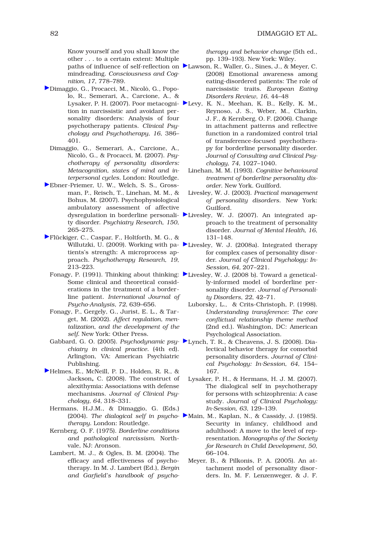Know yourself and you shall know the other . . . to a certain extent: Multiple mindreading. *Consciousness and Cognition*, *17*, 778–789.

- Dimaggio, G., Procacci, M., Nicolò, G., Popolo, R., Semerari, A., Carcione, A., & tion in narcissistic and avoidant personality disorders: Analysis of four psychotherapy patients. *Clinical Psychology and Psychotherapy*, *16*, 386– 401.
	- Dimaggio, G., Semerari, A., Carcione, A., Nicolò, G., & Procacci, M. (2007). *Psychotherapy of personality disorders: Metacognition, states of mind and interpersonal cycles.* London: Routledge.
- Ebner-Priemer, U. W., Welch, S. S., Grossman, P., Reisch, T., Linehan, M. M., & Bohus, M. (2007). Psychophysiological ambulatory assessment of affective ty disorder. *Psychiatry Research*, *150*, 265–275.
- Flückiger, C., Caspar, F., Holtforth, M. G., & tients's strength: A microprocess approach. *Psychotherapy Research*, *19*, 213–223.
	- Some clinical and theoretical considerations in the treatment of a borderline patient. *International Journal of Psycho-Analysis, 72,* 639–656.
	- Fonagy, P., Gergely, G., Jurist, E. L., & Target, M. (2002). *Affect regulation, mentalization, and the development of the self*. New York: Other Press.
	- *chiatry in clinical practice.* (4th ed). Arlington, VA: American Psychiatric Publishing.
- Helmes, E., McNeill, P. D., Holden, R. R., & Jackson, C. (2008). The construct of alexithymia: Associations with defense mechanisms. *Journal of Clinical Psychology, 64,* 318–331.
	- Hermans, H.J.M., & Dimaggio, G. (Eds.) *therapy*. London: Routledge.
	- Kernberg, O. F. (1975). *Borderline conditions and pathological narcissism.* Northvale, NJ: Aronson.
	- Lambert, M. J., & Ogles, B. M. (2004). The efficacy and effectiveness of psychotherapy. In M. J. Lambert (Ed.), *Bergin and Garfield's handbook of psycho-*

*therapy and behavior change* (5th ed., pp. 139–193). New York: Wiley.

- paths of influence of self-reflection on Lawson, R., Waller, G., Sines, J., & Meyer, C. (2008) Emotional awareness among eating-disordered patients: The role of narcissistic traits. *European Eating Disorders Review, 16*, 44–48
- Lysaker, P. H. (2007). Poor metacogni-Levy, K. N., Meehan, K. B., Kelly, K. M., Reynoso, J. S., Weber, M., Clarkin, J. F., & Kernberg, O. F. (2006). Change in attachment patterns and reflective function in a randomized control trial of transference-focused psychotherapy for borderline personality disorder. *Journal of Consulting and Clinical Psychology*, *74*, 1027–1040.
	- Linehan, M. M. (1993). *Cognitive behavioural treatment of borderline personality disorder*. New York. Guilford.
	- Livesley, W. J. (2003). *Practical management of personality disorders.* New York: Guilford.
- dysregulation in borderline personali-Livesley, W. J. (2007). An integrated approach to the treatment of personality disorder. *Journal of Mental Health*, *16*, 131–148.
- Willutzki, U. (2009). Working with pa-Livesley, W. J. (2008a). Integrated therapy for complex cases of personality disorder. *Journal of Clinical Psychology: In-Session, 64,* 207–221.
- Fonagy, P. (1991). Thinking about thinking: Livesley, W. J. (2008 b). Toward a genetically-informed model of borderline personality disorder. *Journal of Personality Disorders*, *22*, 42–71.
	- Luborsky, L., & Crits-Christoph, P. (1998). *Understanding transference: The core conflictual relationship theme method*  (2nd ed.). Washington, DC: American Psychological Association.
- Gabbard, G. O. (2005). *Psychodynamic psy-*Lynch, T. R., & Cheavens, J. S. (2008). Dialectical behavior therapy for comorbid personality disorders. *Journal of Clinical Psychology: In-Session, 64,* 154– 167.
	- Lysaker, P. H., & Hermans, H. J. M. (2007). The dialogical self in psychotherapy for persons with schizophrenia: A case study. *Journal of Clinical Psychology: In-Session*, *63*, 129–139.
	- (2004). *The dialogical self in psycho-*Main, M., Kaplan, N., & Cassidy, J. (1985). Security in infancy, childhood and adulthood: A move to the level of representation. *Monographs of the Society for Research in Child Development, 50*, 66–104.
		- Meyer, B., & Pilkonis, P. A. (2005). An attachment model of personality disorders. In, M. F. Lenzenweger, & J. F.